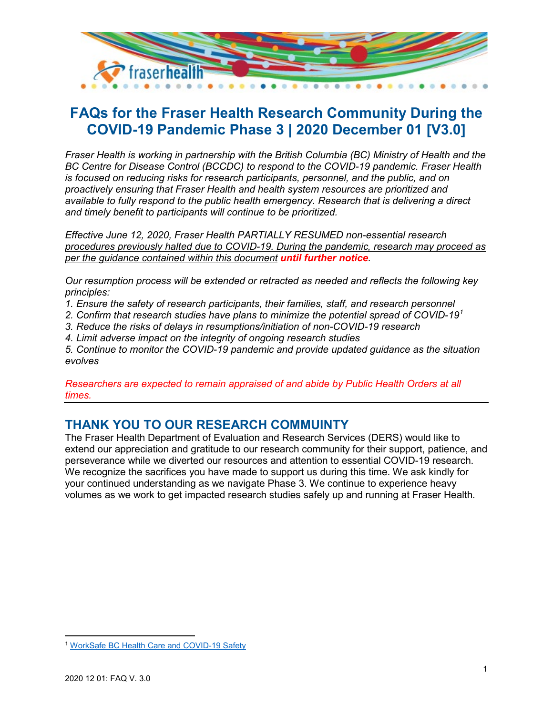

# **FAQs for the Fraser Health Research Community During the COVID-19 Pandemic Phase 3 | 2020 December 01 [V3.0]**

*Fraser Health is working in partnership with the British Columbia (BC) Ministry of Health and the BC Centre for Disease Control (BCCDC) to respond to the COVID-19 pandemic. Fraser Health is focused on reducing risks for research participants, personnel, and the public, and on proactively ensuring that Fraser Health and health system resources are prioritized and available to fully respond to the public health emergency. Research that is delivering a direct and timely benefit to participants will continue to be prioritized.* 

*Effective June 12, 2020, Fraser Health PARTIALLY RESUMED non-essential research procedures previously halted due to COVID-19. During the pandemic, research may proceed as per the guidance contained within this document until further notice.*

*Our resumption process will be extended or retracted as needed and reflects the following key principles:* 

*1. Ensure the safety of research participants, their families, staff, and research personnel* 

*2. Confirm that research studies have plans to minimize the potential spread of COVID-19[1](#page-0-0)*

*3. Reduce the risks of delays in resumptions/initiation of non-COVID-19 research*

*4. Limit adverse impact on the integrity of ongoing research studies*

*5. Continue to monitor the COVID-19 pandemic and provide updated guidance as the situation evolves*

*Researchers are expected to remain appraised of and abide by Public Health Orders at all times.* 

# **THANK YOU TO OUR RESEARCH COMMUINTY**

The Fraser Health Department of Evaluation and Research Services (DERS) would like to extend our appreciation and gratitude to our research community for their support, patience, and perseverance while we diverted our resources and attention to essential COVID-19 research. We recognize the sacrifices you have made to support us during this time. We ask kindly for your continued understanding as we navigate Phase 3. We continue to experience heavy volumes as we work to get impacted research studies safely up and running at Fraser Health.

<span id="page-0-0"></span>l <sup>1</sup> [WorkSafe BC Health Care and COVID-19 Safety](https://www.worksafebc.com/en/about-us/covid-19-updates/covid-19-returning-safe-operation/health-professionals)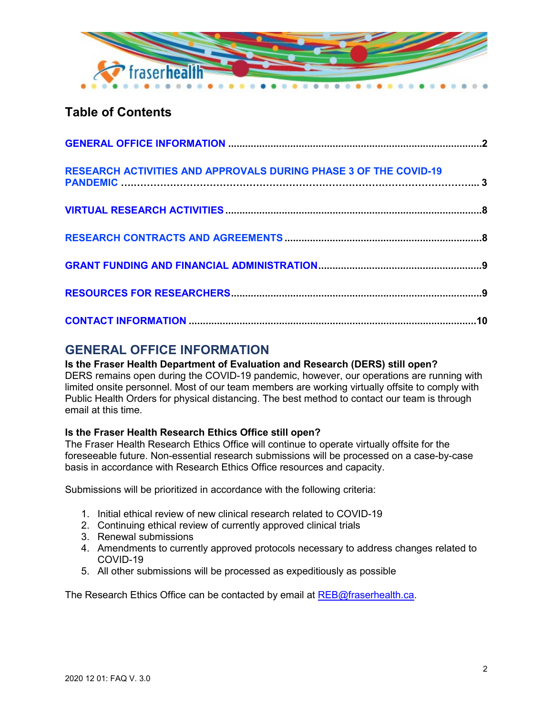

# **Table of Contents**

| <b>RESEARCH ACTIVITIES AND APPROVALS DURING PHASE 3 OF THE COVID-19</b> |  |
|-------------------------------------------------------------------------|--|
|                                                                         |  |
|                                                                         |  |
|                                                                         |  |
|                                                                         |  |
|                                                                         |  |

# <span id="page-1-0"></span>**GENERAL OFFICE INFORMATION**

# **Is the Fraser Health Department of Evaluation and Research (DERS) still open?**

DERS remains open during the COVID-19 pandemic, however, our operations are running with limited onsite personnel. Most of our team members are working virtually offsite to comply with Public Health Orders for physical distancing. The best method to contact our team is through email at this time.

# **Is the Fraser Health Research Ethics Office still open?**

The Fraser Health Research Ethics Office will continue to operate virtually offsite for the foreseeable future. Non-essential research submissions will be processed on a case-by-case basis in accordance with Research Ethics Office resources and capacity.

Submissions will be prioritized in accordance with the following criteria:

- 1. Initial ethical review of new clinical research related to COVID-19
- 2. Continuing ethical review of currently approved clinical trials
- 3. Renewal submissions
- 4. Amendments to currently approved protocols necessary to address changes related to COVID-19
- 5. All other submissions will be processed as expeditiously as possible

The Research Ethics Office can be contacted by email at [REB@fraserhealth.ca.](mailto:REB@fraserhealth.ca)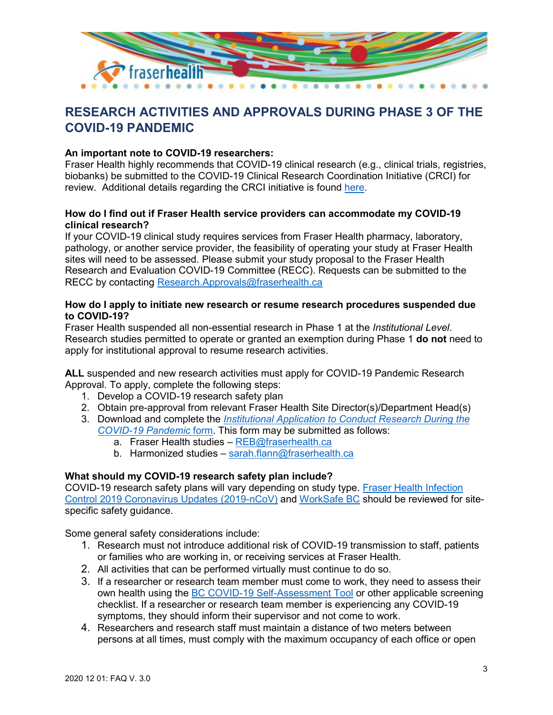

# <span id="page-2-0"></span>**RESEARCH ACTIVITIES AND APPROVALS DURING PHASE 3 OF THE COVID-19 PANDEMIC**

### **An important note to COVID-19 researchers:**

Fraser Health highly recommends that COVID-19 clinical research (e.g., clinical trials, registries, biobanks) be submitted to the COVID-19 Clinical Research Coordination Initiative (CRCI) for review. Additional details regarding the CRCI initiative is found [here.](https://www.med.ubc.ca/research/covid-19-clinical-research-coordination-initiative/)

#### **How do I find out if Fraser Health service providers can accommodate my COVID-19 clinical research?**

If your COVID-19 clinical study requires services from Fraser Health pharmacy, laboratory, pathology, or another service provider, the feasibility of operating your study at Fraser Health sites will need to be assessed. Please submit your study proposal to the Fraser Health Research and Evaluation COVID-19 Committee (RECC). Requests can be submitted to the RECC by contacting [Research.Approvals@fraserhealth.ca](mailto:Research.Approvals@fraserhealth.ca)

#### **How do I apply to initiate new research or resume research procedures suspended due to COVID-19?**

Fraser Health suspended all non-essential research in Phase 1 at the *Institutional Level*. Research studies permitted to operate or granted an exemption during Phase 1 **do not** need to apply for institutional approval to resume research activities.

**ALL** suspended and new research activities must apply for COVID-19 Pandemic Research Approval. To apply, complete the following steps:

- 1. Develop a COVID-19 research safety plan
- 2. Obtain pre-approval from relevant Fraser Health Site Director(s)/Department Head(s)
- 3. Download and complete the *[Institutional Application to Conduct Research During the](https://www.fraserhealth.ca/employees/research-and-evaluation/covid-19-research-information#.XuLHlS5KhPa)  [COVID-19 Pandemic](https://www.fraserhealth.ca/employees/research-and-evaluation/covid-19-research-information#.XuLHlS5KhPa)* form. This form may be submitted as follows:
	- a. Fraser Health studies [REB@fraserhealth.ca](mailto:REB@fraserhealth.ca)
	- b. Harmonized studies [sarah.flann@fraserhealth.ca](mailto:sarah.flann@fraserhealth.ca)

# **What should my COVID-19 research safety plan include?**

COVID-19 research safety plans will vary depending on study type. [Fraser Health Infection](http://fhpulse/quality_and_patient_safety/infection_control/Pages/novel_coronavirus.aspx)  [Control 2019 Coronavirus Updates \(2019-nCoV\)](http://fhpulse/quality_and_patient_safety/infection_control/Pages/novel_coronavirus.aspx) and [WorkSafe BC](https://www.worksafebc.com/en/resources/health-safety/books-guides/reviewing-updating-covid-19-safety-plans-guide-for-employers?utm_source=google&utm_medium=searchad&utm_campaign=covid19&utm_term=resources%2Cpaid&utm_content=covid-employer-guide-nov2020) should be reviewed for sitespecific safety guidance.

Some general safety considerations include:

- 1. Research must not introduce additional risk of COVID-19 transmission to staff, patients or families who are working in, or receiving services at Fraser Health.
- 2. All activities that can be performed virtually must continue to do so.
- 3. If a researcher or research team member must come to work, they need to assess their own health using the [BC COVID-19 Self-Assessment Tool](https://bc.thrive.health/covid19/en) or other applicable screening checklist. If a researcher or research team member is experiencing any COVID-19 symptoms, they should inform their supervisor and not come to work.
- 4. Researchers and research staff must maintain a distance of two meters between persons at all times, must comply with the maximum occupancy of each office or open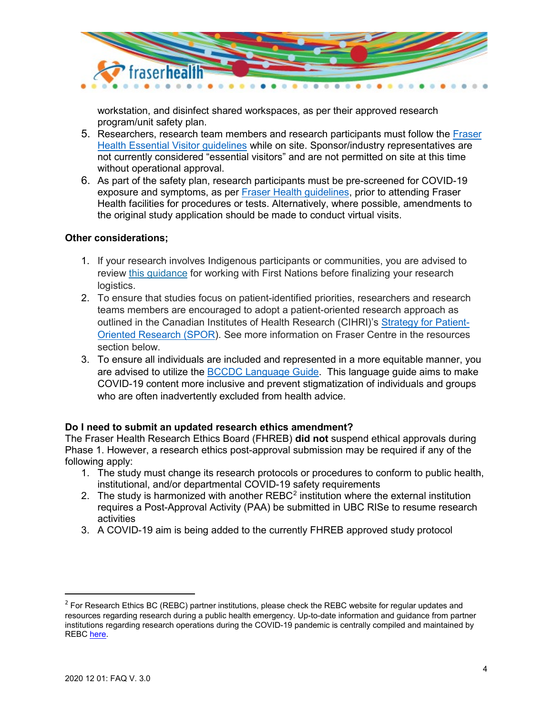

workstation, and disinfect shared workspaces, as per their approved research program/unit safety plan.

- 5. Researchers, research team members and research participants must follow the [Fraser](http://fhpulse/covid-19/Pages/Patient_Resources.aspx)  [Health Essential Visitor guidelines](http://fhpulse/covid-19/Pages/Patient_Resources.aspx) while on site. Sponsor/industry representatives are not currently considered "essential visitors" and are not permitted on site at this time without operational approval.
- 6. As part of the safety plan, research participants must be pre-screened for COVID-19 exposure and symptoms, as per [Fraser Health guidelines,](http://fhpulse/quality_and_patient_safety/infection_control/Pages/novel_coronavirus.aspx) prior to attending Fraser Health facilities for procedures or tests. Alternatively, where possible, amendments to the original study application should be made to conduct virtual visits.

#### **Other considerations;**

- 1. If your research involves Indigenous participants or communities, you are advised to review [this guidance](https://ethics.research.ubc.ca/sites/ore.ubc.ca/files/documents/TIC-during-COVID-19-FNHA-October-2020.pdf) for working with First Nations before finalizing your research logistics.
- 2. To ensure that studies focus on patient-identified priorities, researchers and research teams members are encouraged to adopt a patient-oriented research approach as outlined in the Canadian Institutes of Health Research (CIHRI)'s [Strategy for Patient-](https://cihr-irsc.gc.ca/e/41204.html)**[Oriented Research \(SPOR\)](https://cihr-irsc.gc.ca/e/41204.html). See more information on Fraser Centre in the resources** section below.
- 3. To ensure all individuals are included and represented in a more equitable manner, you are advised to utilize the **BCCDC Language Guide**. This language guide aims to make COVID-19 content more inclusive and prevent stigmatization of individuals and groups who are often inadvertently excluded from health advice.

# **Do I need to submit an updated research ethics amendment?**

The Fraser Health Research Ethics Board (FHREB) **did not** suspend ethical approvals during Phase 1. However, a research ethics post-approval submission may be required if any of the following apply:

- 1. The study must change its research protocols or procedures to conform to public health, institutional, and/or departmental COVID-19 safety requirements
- [2](#page-3-0). The study is harmonized with another  $REBC<sup>2</sup>$  institution where the external institution requires a Post-Approval Activity (PAA) be submitted in UBC RISe to resume research activities
- 3. A COVID-19 aim is being added to the currently FHREB approved study protocol

<span id="page-3-0"></span> $<sup>2</sup>$  For Research Ethics BC (REBC) partner institutions, please check the REBC website for regular updates and</sup> resources regarding research during a public health emergency. Up-to-date information and guidance from partner institutions regarding research operations during the COVID-19 pandemic is centrally compiled and maintained by REBC [here.](https://researchethicsbc.ca/resources-for-research-ethics-during-a-public-health-emergency/)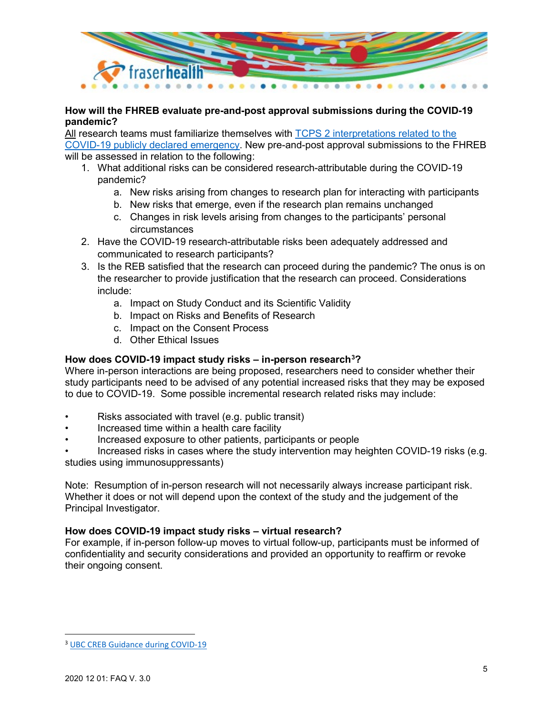

# **How will the FHREB evaluate pre-and-post approval submissions during the COVID-19 pandemic?**

All research teams must familiarize themselves with [TCPS 2 interpretations related to the](https://ethics.gc.ca/eng/nr-cp_2020-09-02.html)  [COVID-19 publicly declared emergency.](https://ethics.gc.ca/eng/nr-cp_2020-09-02.html) New pre-and-post approval submissions to the FHREB will be assessed in relation to the following:

- 1. What additional risks can be considered research-attributable during the COVID-19 pandemic?
	- a. New risks arising from changes to research plan for interacting with participants
	- b. New risks that emerge, even if the research plan remains unchanged
	- c. Changes in risk levels arising from changes to the participants' personal circumstances
- 2. Have the COVID-19 research-attributable risks been adequately addressed and communicated to research participants?
- 3. Is the REB satisfied that the research can proceed during the pandemic? The onus is on the researcher to provide justification that the research can proceed. Considerations include:
	- a. Impact on Study Conduct and its Scientific Validity
	- b. Impact on Risks and Benefits of Research
	- c. Impact on the Consent Process
	- d. Other Ethical Issues

# **How does COVID-19 impact study risks – in-person research[3](#page-4-0) ?**

Where in-person interactions are being proposed, researchers need to consider whether their study participants need to be advised of any potential increased risks that they may be exposed to due to COVID-19. Some possible incremental research related risks may include:

- Risks associated with travel (e.g. public transit)
- Increased time within a health care facility
- Increased exposure to other patients, participants or people

• Increased risks in cases where the study intervention may heighten COVID-19 risks (e.g. studies using immunosuppressants)

Note: Resumption of in-person research will not necessarily always increase participant risk. Whether it does or not will depend upon the context of the study and the judgement of the Principal Investigator.

# **How does COVID-19 impact study risks – virtual research?**

For example, if in-person follow-up moves to virtual follow-up, participants must be informed of confidentiality and security considerations and provided an opportunity to reaffirm or revoke their ongoing consent.

<span id="page-4-0"></span> <sup>3</sup> [UBC CREB Guidance during COVID-19](https://ethics.research.ubc.ca/clinical-research-ethics/ubc-creb-guidance-during-covid-19)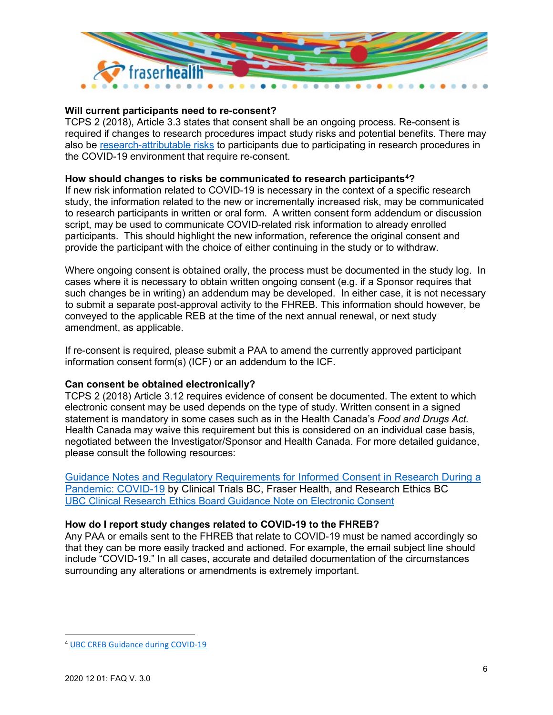

# **Will current participants need to re-consent?**

TCPS 2 (2018), Article 3.3 states that consent shall be an ongoing process. Re-consent is required if changes to research procedures impact study risks and potential benefits. There may also be [research-attributable risks](https://ethics.gc.ca/eng/nr-cp_2020-09-02.html) to participants due to participating in research procedures in the COVID-19 environment that require re-consent.

# **How should changes to risks be communicated to research participants[4](#page-5-0) ?**

If new risk information related to COVID-19 is necessary in the context of a specific research study, the information related to the new or incrementally increased risk, may be communicated to research participants in written or oral form. A written consent form addendum or discussion script, may be used to communicate COVID-related risk information to already enrolled participants. This should highlight the new information, reference the original consent and provide the participant with the choice of either continuing in the study or to withdraw.

Where ongoing consent is obtained orally, the process must be documented in the study log. In cases where it is necessary to obtain written ongoing consent (e.g. if a Sponsor requires that such changes be in writing) an addendum may be developed. In either case, it is not necessary to submit a separate post-approval activity to the FHREB. This information should however, be conveyed to the applicable REB at the time of the next annual renewal, or next study amendment, as applicable.

If re-consent is required, please submit a PAA to amend the currently approved participant information consent form(s) (ICF) or an addendum to the ICF.

#### **Can consent be obtained electronically?**

TCPS 2 (2018) Article 3.12 requires evidence of consent be documented. The extent to which electronic consent may be used depends on the type of study. Written consent in a signed statement is mandatory in some cases such as in the Health Canada's *Food and Drugs Act.*  Health Canada may waive this requirement but this is considered on an individual case basis, negotiated between the Investigator/Sponsor and Health Canada. For more detailed guidance, please consult the following resources:

[Guidance Notes and Regulatory Requirements for Informed Consent in Research During a](https://researchethicsbc.ca/wp-content/uploads/2020/03/GUIDANCE-NOTES-ON-INFORMED-CONSENT-DURING-A-PANDEMIC_CTBC_Fraser-Health_REBC.pdf)  [Pandemic: COVID-19](https://researchethicsbc.ca/wp-content/uploads/2020/03/GUIDANCE-NOTES-ON-INFORMED-CONSENT-DURING-A-PANDEMIC_CTBC_Fraser-Health_REBC.pdf) by Clinical Trials BC, Fraser Health, and Research Ethics BC [UBC Clinical Research Ethics Board Guidance Note on Electronic Consent](https://ethics.research.ubc.ca/sites/ore.ubc.ca/files/documents/E%20consent%20final%20April%2029%20with%20links.pdf)

# **How do I report study changes related to COVID-19 to the FHREB?**

Any PAA or emails sent to the FHREB that relate to COVID-19 must be named accordingly so that they can be more easily tracked and actioned. For example, the email subject line should include "COVID-19." In all cases, accurate and detailed documentation of the circumstances surrounding any alterations or amendments is extremely important.

<span id="page-5-0"></span> <sup>4</sup> [UBC CREB Guidance during COVID-19](https://ethics.research.ubc.ca/clinical-research-ethics/ubc-creb-guidance-during-covid-19)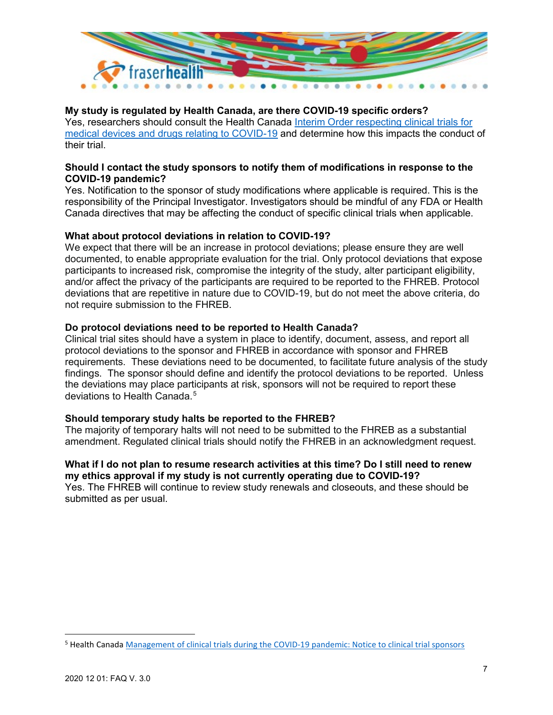

# **My study is regulated by Health Canada, are there COVID-19 specific orders?**

Yes, researchers should consult the Health Canada [Interim Order respecting clinical trials for](https://www.canada.ca/en/health-canada/services/drugs-health-products/covid19-industry/interim-order-respecting-clinical-trials-medical-devices-drugs.html)  [medical devices and drugs relating to COVID-19](https://www.canada.ca/en/health-canada/services/drugs-health-products/covid19-industry/interim-order-respecting-clinical-trials-medical-devices-drugs.html) and determine how this impacts the conduct of their trial.

#### **Should I contact the study sponsors to notify them of modifications in response to the COVID-19 pandemic?**

Yes. Notification to the sponsor of study modifications where applicable is required. This is the responsibility of the Principal Investigator. Investigators should be mindful of any FDA or Health Canada directives that may be affecting the conduct of specific clinical trials when applicable.

#### **What about protocol deviations in relation to COVID-19?**

We expect that there will be an increase in protocol deviations; please ensure they are well documented, to enable appropriate evaluation for the trial. Only protocol deviations that expose participants to increased risk, compromise the integrity of the study, alter participant eligibility, and/or affect the privacy of the participants are required to be reported to the FHREB. Protocol deviations that are repetitive in nature due to COVID-19, but do not meet the above criteria, do not require submission to the FHREB.

#### **Do protocol deviations need to be reported to Health Canada?**

Clinical trial sites should have a system in place to identify, document, assess, and report all protocol deviations to the sponsor and FHREB in accordance with sponsor and FHREB requirements. These deviations need to be documented, to facilitate future analysis of the study findings. The sponsor should define and identify the protocol deviations to be reported. Unless the deviations may place participants at risk, sponsors will not be required to report these deviations to Health Canada.<sup>[5](#page-6-0)</sup>

#### **Should temporary study halts be reported to the FHREB?**

The majority of temporary halts will not need to be submitted to the FHREB as a substantial amendment. Regulated clinical trials should notify the FHREB in an acknowledgment request.

#### **What if I do not plan to resume research activities at this time? Do I still need to renew my ethics approval if my study is not currently operating due to COVID-19?**

Yes. The FHREB will continue to review study renewals and closeouts, and these should be submitted as per usual.

<span id="page-6-0"></span> <sup>5</sup> Health Canada [Management of clinical trials during the COVID-19 pandemic: Notice to clinical trial sponsors](https://www.canada.ca/en/health-canada/services/drugs-health-products/drug-products/announcements/management-clinical-trials-during-covid-19-pandemic.html)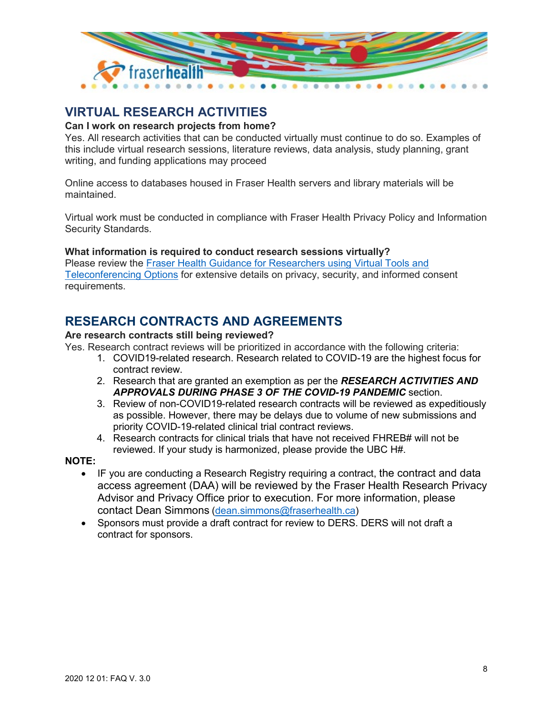

# <span id="page-7-0"></span>**VIRTUAL RESEARCH ACTIVITIES**

# **Can I work on research projects from home?**

Yes. All research activities that can be conducted virtually must continue to do so. Examples of this include virtual research sessions, literature reviews, data analysis, study planning, grant writing, and funding applications may proceed

Online access to databases housed in Fraser Health servers and library materials will be maintained.

Virtual work must be conducted in compliance with Fraser Health Privacy Policy and Information Security Standards.

# **What information is required to conduct research sessions virtually?**

Please review the [Fraser Health Guidance for Researchers using Virtual Tools and](https://www.fraserhealth.ca/employees/research-and-evaluation/find-resources/research-forms-guidance-notes-templates#.X8p3Y62ovAr)  [Teleconferencing Options](https://www.fraserhealth.ca/employees/research-and-evaluation/find-resources/research-forms-guidance-notes-templates#.X8p3Y62ovAr) for extensive details on privacy, security, and informed consent requirements.

# <span id="page-7-1"></span>**[RESEARCH CONTRACTS AND AGREEMENTS](#page-7-1)**

#### **Are research contracts still being reviewed?**

Yes. Research contract reviews will be prioritized in accordance with the following criteria:

- 1. COVID19-related research. Research related to COVID-19 are the highest focus for contract review.
- 2. Research that are granted an exemption as per the *RESEARCH ACTIVITIES AND APPROVALS DURING PHASE 3 OF THE COVID-19 PANDEMIC* section.
- 3. Review of non-COVID19-related research contracts will be reviewed as expeditiously as possible. However, there may be delays due to volume of new submissions and priority COVID-19-related clinical trial contract reviews.
- 4. Research contracts for clinical trials that have not received FHREB# will not be reviewed. If your study is harmonized, please provide the UBC H#.

#### **NOTE:**

- IF you are conducting a Research Registry requiring a contract, the contract and data access agreement (DAA) will be reviewed by the Fraser Health Research Privacy Advisor and Privacy Office prior to execution. For more information, please contact Dean Simmons [\(dean.simmons@fraserhealth.ca\)](mailto:dean.simmons@fraserhealth.ca)
- Sponsors must provide a draft contract for review to DERS. DERS will not draft a contract for sponsors.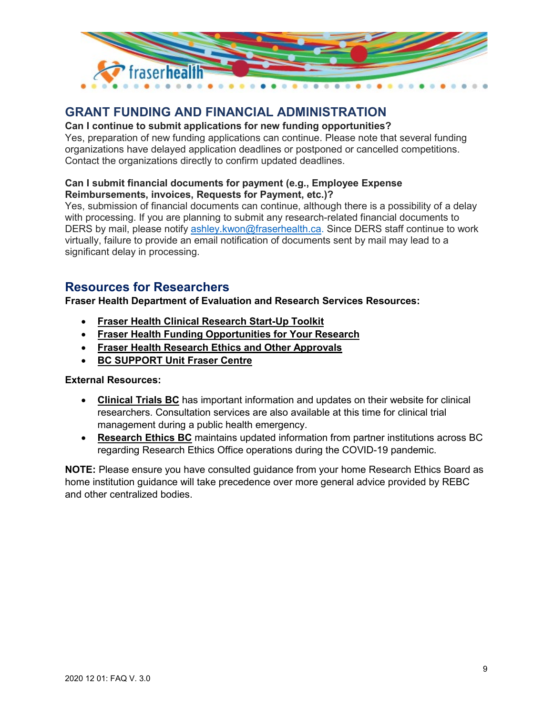

# <span id="page-8-0"></span>**GRANT FUNDING AND FINANCIAL ADMINISTRATION**

# **Can I continue to submit applications for new funding opportunities?**

Yes, preparation of new funding applications can continue. Please note that several funding organizations have delayed application deadlines or postponed or cancelled competitions. Contact the organizations directly to confirm updated deadlines.

### **Can I submit financial documents for payment (e.g., Employee Expense Reimbursements, invoices, Requests for Payment, etc.)?**

Yes, submission of financial documents can continue, although there is a possibility of a delay with processing. If you are planning to submit any research-related financial documents to DERS by mail, please notify [ashley.kwon@fraserhealth.ca.](mailto:ashley.kwon@fraserhealth.ca) Since DERS staff continue to work virtually, failure to provide an email notification of documents sent by mail may lead to a significant delay in processing.

# <span id="page-8-1"></span>**Resources for Researchers**

**Fraser Health Department of Evaluation and Research Services Resources:**

- **[Fraser Health Clinical Research Start-Up Toolkit](https://www.fraserhealth.ca/employees/research-and-evaluation/find-resources/clinical-research-startup-toolkit#.XnzPu75KjIV)**
- **[Fraser Health Funding Opportunities for Your Research](https://www.fraserhealth.ca/employees/research-and-evaluation/funding-opportunities-for-your-research#.XnzPXr5KjIU)**
- **[Fraser Health Research Ethics and Other Approvals](https://www.fraserhealth.ca/employees/research-and-evaluation/research-ethics-and-other-approvals#.XnzP975KjIU)**
- **[BC SUPPORT Unit Fraser Centre](https://www.fraserhealth.ca/employees/research-and-evaluation/advancing-patient-oriented-research/bc-support-unit-fraser-centre#.X8VC8hNKhTY)**

# **External Resources:**

- **[Clinical Trials BC](https://www.clinicaltrialsbc.ca/covid-19-resources/)** has important information and updates on their website for clinical researchers. Consultation services are also available at this time for clinical trial management during a public health emergency.
- **[Research Ethics BC](https://researchethicsbc.ca/resources-for-research-ethics-during-a-public-health-emergency/)** maintains updated information from partner institutions across BC regarding Research Ethics Office operations during the COVID-19 pandemic.

**NOTE:** Please ensure you have consulted guidance from your home Research Ethics Board as home institution guidance will take precedence over more general advice provided by REBC and other centralized bodies.